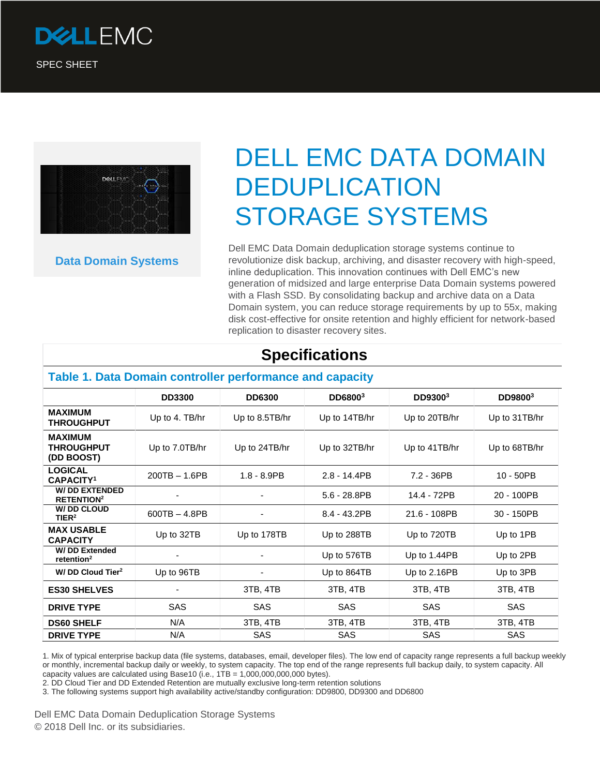



**Data Domain Systems**

# DELL EMC DATA DOMAIN DEDUPLICATION STORAGE SYSTEMS

Dell EMC Data Domain deduplication storage systems continue to revolutionize disk backup, archiving, and disaster recovery with high-speed, inline deduplication. This innovation continues with Dell EMC's new generation of midsized and large enterprise Data Domain systems powered with a Flash SSD. By consolidating backup and archive data on a Data Domain system, you can reduce storage requirements by up to 55x, making disk cost-effective for onsite retention and highly efficient for network-based replication to disaster recovery sites.

# **Specifications**

#### **Table 1. Data Domain controller performance and capacity**

|                                                      | <b>DD3300</b>   | <b>DD6300</b>  | DD68003         | DD93003         | DD98003       |
|------------------------------------------------------|-----------------|----------------|-----------------|-----------------|---------------|
| <b>MAXIMUM</b><br><b>THROUGHPUT</b>                  | Up to 4. TB/hr  | Up to 8.5TB/hr | Up to 14TB/hr   | Up to 20TB/hr   | Up to 31TB/hr |
| <b>MAXIMUM</b><br><b>THROUGHPUT</b><br>(DD BOOST)    | Up to 7.0TB/hr  | Up to 24TB/hr  | Up to 32TB/hr   | Up to 41TB/hr   | Up to 68TB/hr |
| <b>LOGICAL</b><br><b>CAPACITY1</b>                   | $200TB - 1.6PB$ | $1.8 - 8.9$ PB | $2.8 - 14.4$ PB | 7.2 - 36PB      | $10 - 50$ PB  |
| <b>W/DD EXTENDED</b><br><b>RETENTION<sup>2</sup></b> |                 |                | $5.6 - 28.8$ PB | 14.4 - 72PB     | 20 - 100PB    |
| W/ DD CLOUD<br>TIER <sup>2</sup>                     | $600TB - 4.8PB$ |                | 8.4 - 43.2PB    | 21.6 - 108PB    | 30 - 150PB    |
| <b>MAX USABLE</b><br><b>CAPACITY</b>                 | Up to 32TB      | Up to 178TB    | Up to 288TB     | Up to 720TB     | Up to 1PB     |
| <b>W/DD Extended</b><br>retention <sup>2</sup>       |                 |                | Up to 576TB     | Up to 1.44PB    | Up to 2PB     |
| W/ DD Cloud Tier <sup>2</sup>                        | Up to 96TB      | -              | Up to 864TB     | Up to $2.16$ PB | Up to 3PB     |
| <b>ES30 SHELVES</b>                                  |                 | 3TB, 4TB       | 3TB, 4TB        | 3TB, 4TB        | 3TB, 4TB      |
| <b>DRIVE TYPE</b>                                    | SAS             | SAS            | <b>SAS</b>      | SAS             | <b>SAS</b>    |
| <b>DS60 SHELF</b>                                    | N/A             | 3TB, 4TB       | 3TB, 4TB        | 3TB, 4TB        | 3TB, 4TB      |
| <b>DRIVE TYPE</b>                                    | N/A             | SAS            | <b>SAS</b>      | SAS             | SAS           |

1. Mix of typical enterprise backup data (file systems, databases, email, developer files). The low end of capacity range represents a full backup weekly or monthly, incremental backup daily or weekly, to system capacity. The top end of the range represents full backup daily, to system capacity. All capacity values are calculated using Base10 (i.e., 1TB = 1,000,000,000,000 bytes).

2. DD Cloud Tier and DD Extended Retention are mutually exclusive long-term retention solutions

3. The following systems support high availability active/standby configuration: DD9800, DD9300 and DD6800

Dell EMC Data Domain Deduplication Storage Systems © 2018 Dell Inc. or its subsidiaries.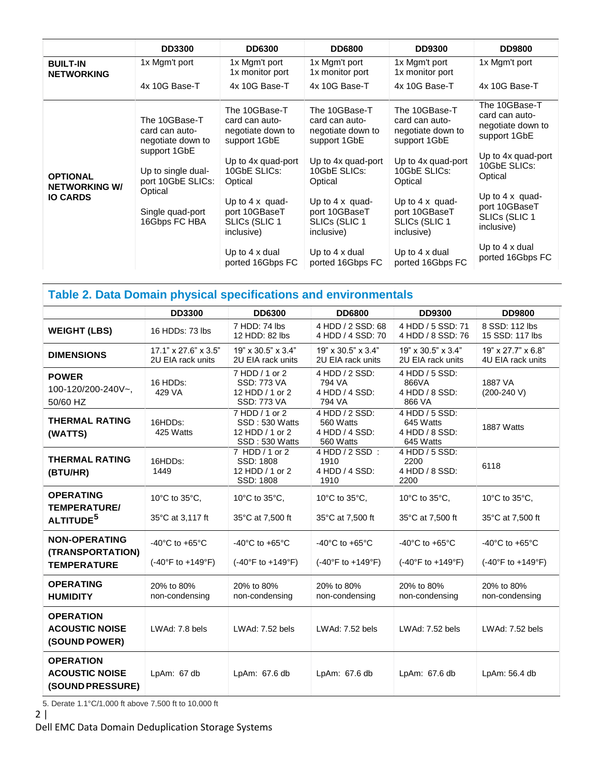|                                                            | <b>DD3300</b>                                                                                                   | <b>DD6300</b>                                                                                                         | <b>DD6800</b>                                                                                                         | <b>DD9300</b>                                                                                                         | <b>DD9800</b>                                                                                                         |
|------------------------------------------------------------|-----------------------------------------------------------------------------------------------------------------|-----------------------------------------------------------------------------------------------------------------------|-----------------------------------------------------------------------------------------------------------------------|-----------------------------------------------------------------------------------------------------------------------|-----------------------------------------------------------------------------------------------------------------------|
| <b>BUILT-IN</b><br><b>NETWORKING</b>                       | 1x Mgm't port                                                                                                   | 1x Mgm't port<br>1x monitor port                                                                                      | 1x Mgm't port<br>1x monitor port                                                                                      | 1x Mgm't port<br>1x monitor port                                                                                      | 1x Mgm't port                                                                                                         |
|                                                            | 4x 10G Base-T                                                                                                   | 4x 10G Base-T                                                                                                         | 4x 10G Base-T                                                                                                         | 4x 10G Base-T                                                                                                         | 4x 10G Base-T                                                                                                         |
| <b>OPTIONAL</b><br><b>NETWORKING W/</b><br><b>IO CARDS</b> | The 10GBase-T<br>card can auto-<br>negotiate down to<br>support 1GbE<br>Up to single dual-<br>port 10GbE SLICs: | The 10GBase-T<br>card can auto-<br>negotiate down to<br>support 1GbE<br>Up to 4x quad-port<br>10GbE SLICs:<br>Optical | The 10GBase-T<br>card can auto-<br>negotiate down to<br>support 1GbE<br>Up to 4x quad-port<br>10GbE SLICs:<br>Optical | The 10GBase-T<br>card can auto-<br>negotiate down to<br>support 1GbE<br>Up to 4x quad-port<br>10GbE SLICs:<br>Optical | The 10GBase-T<br>card can auto-<br>negotiate down to<br>support 1GbE<br>Up to 4x quad-port<br>10GbE SLICs:<br>Optical |
|                                                            | Optical<br>Single quad-port<br>16Gbps FC HBA                                                                    | Up to $4 \times$ quad-<br>port 10GBaseT<br>SLICs (SLIC 1<br>inclusive)                                                | Up to $4 \times$ quad-<br>port 10GBaseT<br>SLICs (SLIC 1<br>inclusive)                                                | Up to $4 \times$ quad-<br>port 10GBaseT<br>SLICs (SLIC 1<br>inclusive)                                                | Up to $4 \times$ quad-<br>port 10GBaseT<br>SLICs (SLIC 1<br>inclusive)                                                |
|                                                            |                                                                                                                 | Up to 4 x dual<br>ported 16Gbps FC                                                                                    | Up to 4 x dual<br>ported 16Gbps FC                                                                                    | Up to $4 \times$ dual<br>ported 16Gbps FC                                                                             | Up to $4 \times$ dual<br>ported 16Gbps FC                                                                             |

# **Table 2. Data Domain physical specifications and environmentals**

|                                                                  | <b>DD3300</b>                                                             | <b>DD6300</b>                                                                      | <b>DD6800</b>                                                                      | <b>DD9300</b>                                                             | <b>DD9800</b>                                             |
|------------------------------------------------------------------|---------------------------------------------------------------------------|------------------------------------------------------------------------------------|------------------------------------------------------------------------------------|---------------------------------------------------------------------------|-----------------------------------------------------------|
| <b>WEIGHT (LBS)</b>                                              | 16 HDDs: 73 lbs                                                           | 7 HDD: 74 lbs<br>12 HDD: 82 lbs                                                    | 4 HDD / 2 SSD: 68<br>4 HDD / 4 SSD: 70                                             | 4 HDD / 5 SSD: 71<br>4 HDD / 8 SSD: 76                                    | 8 SSD: 112 lbs<br>15 SSD: 117 lbs                         |
| <b>DIMENSIONS</b>                                                | $17.1" \times 27.6" \times 3.5"$<br>2U EIA rack units                     | $19" \times 30.5" \times 3.4"$<br>2U EIA rack units                                | $19" \times 30.5" \times 3.4"$<br>2U EIA rack units                                | $19" \times 30.5" \times 3.4"$<br>2U EIA rack units                       | $19" \times 27.7" \times 6.8"$<br>4U EIA rack units       |
| <b>POWER</b><br>100-120/200-240V~,<br>50/60 HZ                   | 16 HDDs:<br>429 VA                                                        | 7 HDD / 1 or 2<br><b>SSD: 773 VA</b><br>12 HDD / 1 or 2<br><b>SSD: 773 VA</b>      | 4 HDD / 2 SSD:<br>794 VA<br>4 HDD / 4 SSD:<br>794 VA                               | 4 HDD / 5 SSD:<br>866VA<br>4 HDD / 8 SSD:<br>866 VA                       | 1887 VA<br>$(200-240 V)$                                  |
| <b>THERMAL RATING</b><br>(WATTS)                                 | 16HDDs:<br>425 Watts                                                      | 7 HDD / 1 or 2<br>SSD: 530 Watts<br>12 HDD / 1 or 2<br>SSD: 530 Watts              | 4 HDD / 2 SSD:<br>560 Watts<br>4 HDD / 4 SSD:<br>560 Watts                         | 4 HDD / 5 SSD:<br>645 Watts<br>4 HDD / 8 SSD:<br>645 Watts                | 1887 Watts                                                |
| <b>THERMAL RATING</b><br>(BTU/HR)                                | 16HDD <sub>s:</sub><br>1449                                               | 7 HDD / 1 or 2<br>SSD: 1808<br>12 HDD / 1 or 2<br>SSD: 1808                        | 4 HDD / 2 SSD :<br>1910<br>4 HDD / 4 SSD:<br>1910                                  | 4 HDD / 5 SSD:<br>2200<br>4 HDD / 8 SSD:<br>2200                          | 6118                                                      |
| <b>OPERATING</b><br><b>TEMPERATURE/</b><br>ALTITUDE <sup>5</sup> | 10 $\degree$ C to 35 $\degree$ C.<br>35°C at 3,117 ft                     | 10°C to 35°C.<br>35°C at 7,500 ft                                                  | 10 $\degree$ C to 35 $\degree$ C.<br>35°C at 7,500 ft                              | 10 $\degree$ C to 35 $\degree$ C.<br>35°C at 7,500 ft                     | 10 $\degree$ C to 35 $\degree$ C.<br>35°C at 7,500 ft     |
| <b>NON-OPERATING</b><br>(TRANSPORTATION)<br><b>TEMPERATURE</b>   | -40 $^{\circ}$ C to +65 $^{\circ}$ C<br>$(-40^{\circ}F to +149^{\circ}F)$ | -40 $^{\circ}$ C to +65 $^{\circ}$ C<br>$(-40^{\circ}F \text{ to } +149^{\circ}F)$ | -40 $^{\circ}$ C to +65 $^{\circ}$ C<br>$(-40^{\circ}F \text{ to } +149^{\circ}F)$ | -40 $^{\circ}$ C to +65 $^{\circ}$ C<br>$(-40^{\circ}F to +149^{\circ}F)$ | -40 $^{\circ}$ C to +65 $^{\circ}$ C<br>(-40°F to +149°F) |
| <b>OPERATING</b><br><b>HUMIDITY</b>                              | 20% to 80%<br>non-condensing                                              | 20% to 80%<br>non-condensing                                                       | 20% to 80%<br>non-condensing                                                       | 20% to 80%<br>non-condensing                                              | 20% to 80%<br>non-condensing                              |
| <b>OPERATION</b><br><b>ACOUSTIC NOISE</b><br>(SOUND POWER)       | LWAd: 7.8 bels                                                            | LWAd: 7.52 bels                                                                    | LWAd: 7.52 bels                                                                    | LWAd: 7.52 bels                                                           | LWAd: 7.52 bels                                           |
| <b>OPERATION</b><br><b>ACOUSTIC NOISE</b><br>(SOUND PRESSURE)    | LpAm: 67 db                                                               | LpAm: 67.6 db                                                                      | LpAm: 67.6 db                                                                      | LpAm: 67.6 db                                                             | LpAm: 56.4 db                                             |

5. Derate 1.1°C/1,000 ft above 7,500 ft to 10,000 ft

Dell EMC Data Domain Deduplication Storage Systems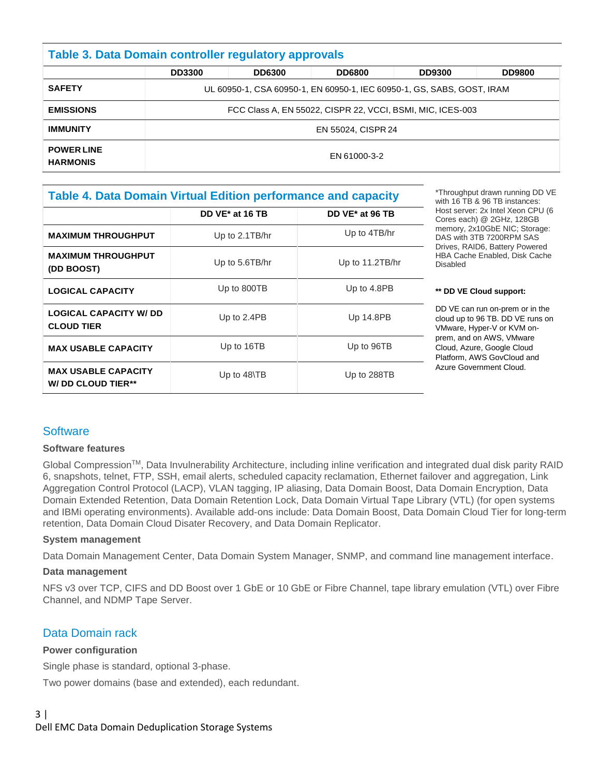| <b>Table 3. Data Domain controller regulatory approvals</b> |                                                                        |               |               |               |               |
|-------------------------------------------------------------|------------------------------------------------------------------------|---------------|---------------|---------------|---------------|
|                                                             | <b>DD3300</b>                                                          | <b>DD6300</b> | <b>DD6800</b> | <b>DD9300</b> | <b>DD9800</b> |
| <b>SAFETY</b>                                               | UL 60950-1, CSA 60950-1, EN 60950-1, IEC 60950-1, GS, SABS, GOST, IRAM |               |               |               |               |
| <b>EMISSIONS</b>                                            | FCC Class A, EN 55022, CISPR 22, VCCI, BSMI, MIC, ICES-003             |               |               |               |               |
| <b>IMMUNITY</b>                                             | EN 55024, CISPR 24                                                     |               |               |               |               |
| <b>POWER LINE</b><br><b>HARMONIS</b>                        | EN 61000-3-2                                                           |               |               |               |               |

## **Table 4. Data Domain Virtual Edition performance and capacity DD VE\* at 16 TB DD VE\* at 96 TB**

|                                                        | UU VE 41. 10 ID | <b>DU VE 41.90 ID</b> |
|--------------------------------------------------------|-----------------|-----------------------|
| <b>MAXIMUM THROUGHPUT</b>                              | Up to 2.1TB/hr  | Up to 4TB/hr          |
| <b>MAXIMUM THROUGHPUT</b><br>(DD BOOST)                | Up to 5.6TB/hr  | Up to 11.2TB/hr       |
| <b>LOGICAL CAPACITY</b>                                | Up to 800TB     | Up to 4.8PB           |
| <b>LOGICAL CAPACITY W/ DD</b><br><b>CLOUD TIER</b>     | Up to 2.4PB     | Up 14.8PB             |
| <b>MAX USABLE CAPACITY</b>                             | Up to 16TB      | Up to 96TB            |
| <b>MAX USABLE CAPACITY</b><br><b>W/DD CLOUD TIER**</b> | Up to 48\TB     | Up to 288TB           |

\*Throughput drawn running DD VE with 16 TB & 96 TB instances: Host server: 2x Intel Xeon CPU (6 Cores each) @ 2GHz, 128GB memory, 2x10GbE NIC; Storage: DAS with 3TB 7200RPM SAS Drives, RAID6, Battery Powered HBA Cache Enabled, Disk Cache Disabled

#### **\*\* DD VE Cloud support:**

DD VE can run on-prem or in the cloud up to 96 TB. DD VE runs on VMware, Hyper-V or KVM onprem, and on AWS, VMware Cloud, Azure, Google Cloud Platform, AWS GovCloud and Azure Government Cloud.

## **Software**

#### **Software features**

Global Compression™, Data Invulnerability Architecture, including inline verification and integrated dual disk parity RAID 6, snapshots, telnet, FTP, SSH, email alerts, scheduled capacity reclamation, Ethernet failover and aggregation, Link Aggregation Control Protocol (LACP), VLAN tagging, IP aliasing, Data Domain Boost, Data Domain Encryption, Data Domain Extended Retention, Data Domain Retention Lock, Data Domain Virtual Tape Library (VTL) (for open systems and IBMi operating environments). Available add-ons include: Data Domain Boost, Data Domain Cloud Tier for long-term retention, Data Domain Cloud Disater Recovery, and Data Domain Replicator.

#### **System management**

Data Domain Management Center, Data Domain System Manager, SNMP, and command line management interface.

#### **Data management**

NFS v3 over TCP, CIFS and DD Boost over 1 GbE or 10 GbE or Fibre Channel, tape library emulation (VTL) over Fibre Channel, and NDMP Tape Server.

## Data Domain rack

#### **Power configuration**

Single phase is standard, optional 3-phase.

Two power domains (base and extended), each redundant.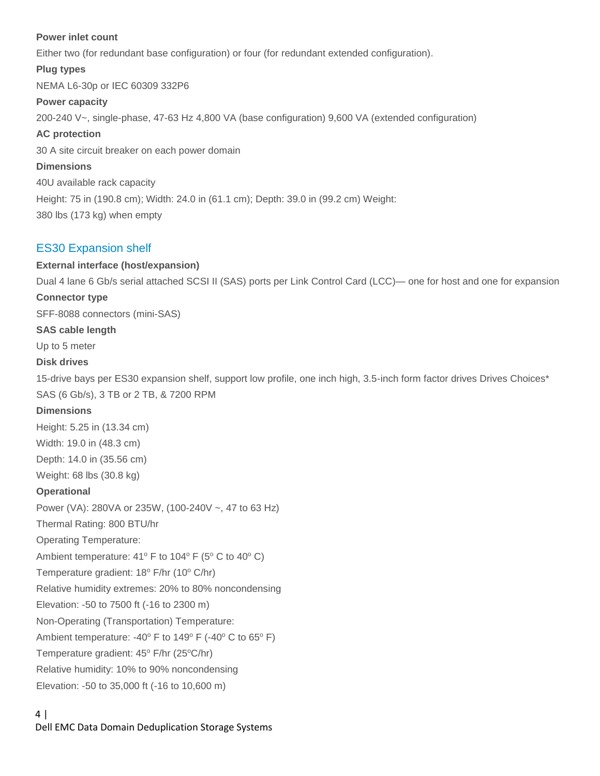#### **Power inlet count**

Either two (for redundant base configuration) or four (for redundant extended configuration).

#### **Plug types**

NEMA L6-30p or IEC 60309 332P6

#### **Power capacity**

200-240 V~, single-phase, 47-63 Hz 4,800 VA (base configuration) 9,600 VA (extended configuration)

#### **AC protection**

30 A site circuit breaker on each power domain

#### **Dimensions**

40U available rack capacity Height: 75 in (190.8 cm); Width: 24.0 in (61.1 cm); Depth: 39.0 in (99.2 cm) Weight: 380 lbs (173 kg) when empty

#### ES30 Expansion shelf

#### **External interface (host/expansion)**

Dual 4 lane 6 Gb/s serial attached SCSI II (SAS) ports per Link Control Card (LCC)— one for host and one for expansion

#### **Connector type**

SFF-8088 connectors (mini-SAS)

#### **SAS cable length**

Up to 5 meter

#### **Disk drives**

15-drive bays per ES30 expansion shelf, support low profile, one inch high, 3.5-inch form factor drives Drives Choices\* SAS (6 Gb/s), 3 TB or 2 TB, & 7200 RPM

#### **Dimensions**

Height: 5.25 in (13.34 cm) Width: 19.0 in (48.3 cm)

Depth: 14.0 in (35.56 cm)

Weight: 68 lbs (30.8 kg)

#### **Operational**

Power (VA): 280VA or 235W, (100-240V ~, 47 to 63 Hz)

Thermal Rating: 800 BTU/hr

Operating Temperature:

Ambient temperature:  $41^{\circ}$  F to  $104^{\circ}$  F (5° C to  $40^{\circ}$  C)

Temperature gradient:  $18^{\circ}$  F/hr ( $10^{\circ}$  C/hr)

Relative humidity extremes: 20% to 80% noncondensing

Elevation: -50 to 7500 ft (-16 to 2300 m)

Non-Operating (Transportation) Temperature:

Ambient temperature: -40 $^{\circ}$  F to 149 $^{\circ}$  F (-40 $^{\circ}$  C to 65 $^{\circ}$  F)

Temperature gradient: 45° F/hr (25°C/hr)

Relative humidity: 10% to 90% noncondensing

Elevation: -50 to 35,000 ft (-16 to 10,600 m)

#### 4 | Dell EMC Data Domain Deduplication Storage Systems